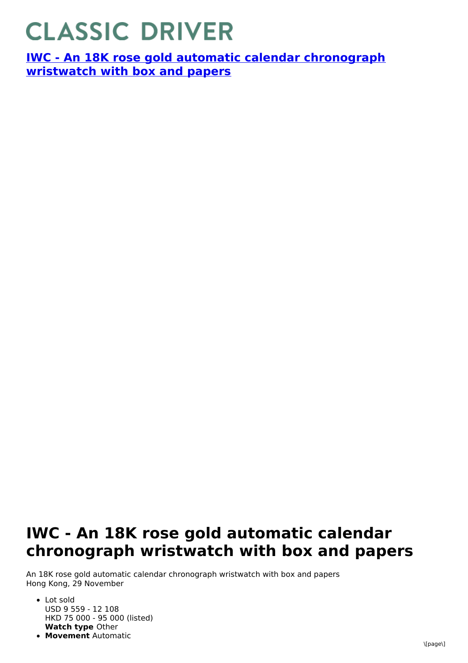## **CLASSIC DRIVER**

**IWC - An 18K rose gold automatic calendar [chronograph](https://www.classicdriver.com/en/watch/iwc/266942) wristwatch with box and papers**

## **IWC - An 18K rose gold automatic calendar chronograph wristwatch with box and papers**

An 18K rose gold automatic calendar chronograph wristwatch with box and papers Hong Kong, 29 November

- **Watch type** Other • Lot sold USD 9 559 - 12 108 HKD 75 000 - 95 000 (listed)
- **Movement** Automatic